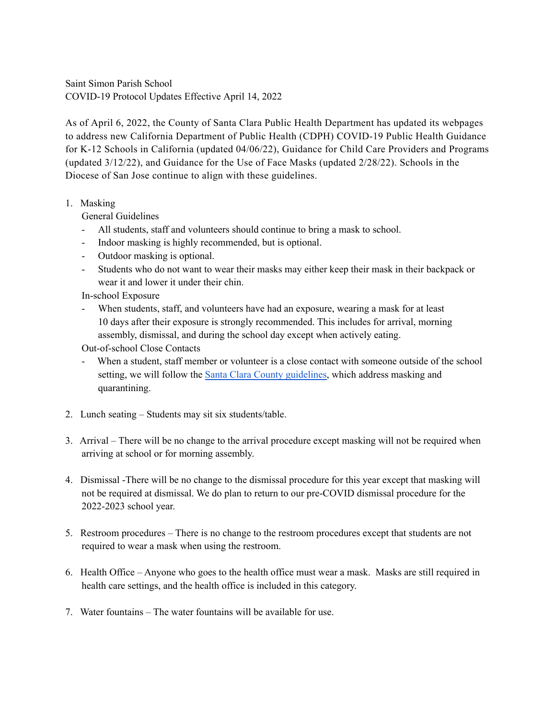Saint Simon Parish School COVID-19 Protocol Updates Effective April 14, 2022

As of April 6, 2022, the County of Santa Clara Public Health Department has updated its webpages to address new California Department of Public Health (CDPH) COVID-19 Public Health Guidance for K-12 Schools in California (updated 04/06/22), Guidance for Child Care Providers and Programs (updated 3/12/22), and Guidance for the Use of Face Masks (updated 2/28/22). School[s in the](https://www.dsj.org/catholic-schools/catholic-schools-covid-response/)  Diocese of San Jose continue to align with these guidelines.

1. Masking

General Guidelines

- All students, staff and volunteers should continue to bring a mask to school.
- Indoor masking is highly recommended, but is optional.
- Outdoor masking is optional.
- Students who do not want to wear their masks may either keep their mask in their backpack or wear it and lower it under their chin.

In-school Exposure

- When students, staff, and volunteers have had an exposure, wearing a mask for at least 10 days after their exposure is strongly recommended. This includes for arrival, morning assembly, dismissal, and during the school day except when actively eating.

Out-of-school Close Contacts

- When a student, staff member or volunteer is a close contact with someone outside of the school setting, we will follow the [Santa Clara County guidelines,](https://covid19.sccgov.org/sites/g/files/exjcpb766/files/documents/Test-Result-Decision-Tree-TK-12-Schools-2-2-22.pdf) which address masking and quarantining.
- 2. Lunch seating Students may sit six students/table.
- 3. Arrival There will be no change to the arrival procedure except masking will not be required when arriving at school or for morning assembly.
- 4. Dismissal -There will be no change to the dismissal procedure for this year except that masking will not be required at dismissal. We do plan to return to our pre-COVID dismissal procedure for the 2022-2023 school year.
- 5. Restroom procedures There is no change to the restroom procedures except that students are not required to wear a mask when using the restroom.
- 6. Health Office Anyone who goes to the health office must wear a mask. Masks are still required in health care settings, and the health office is included in this category.
- 7. Water fountains The water fountains will be available for use.